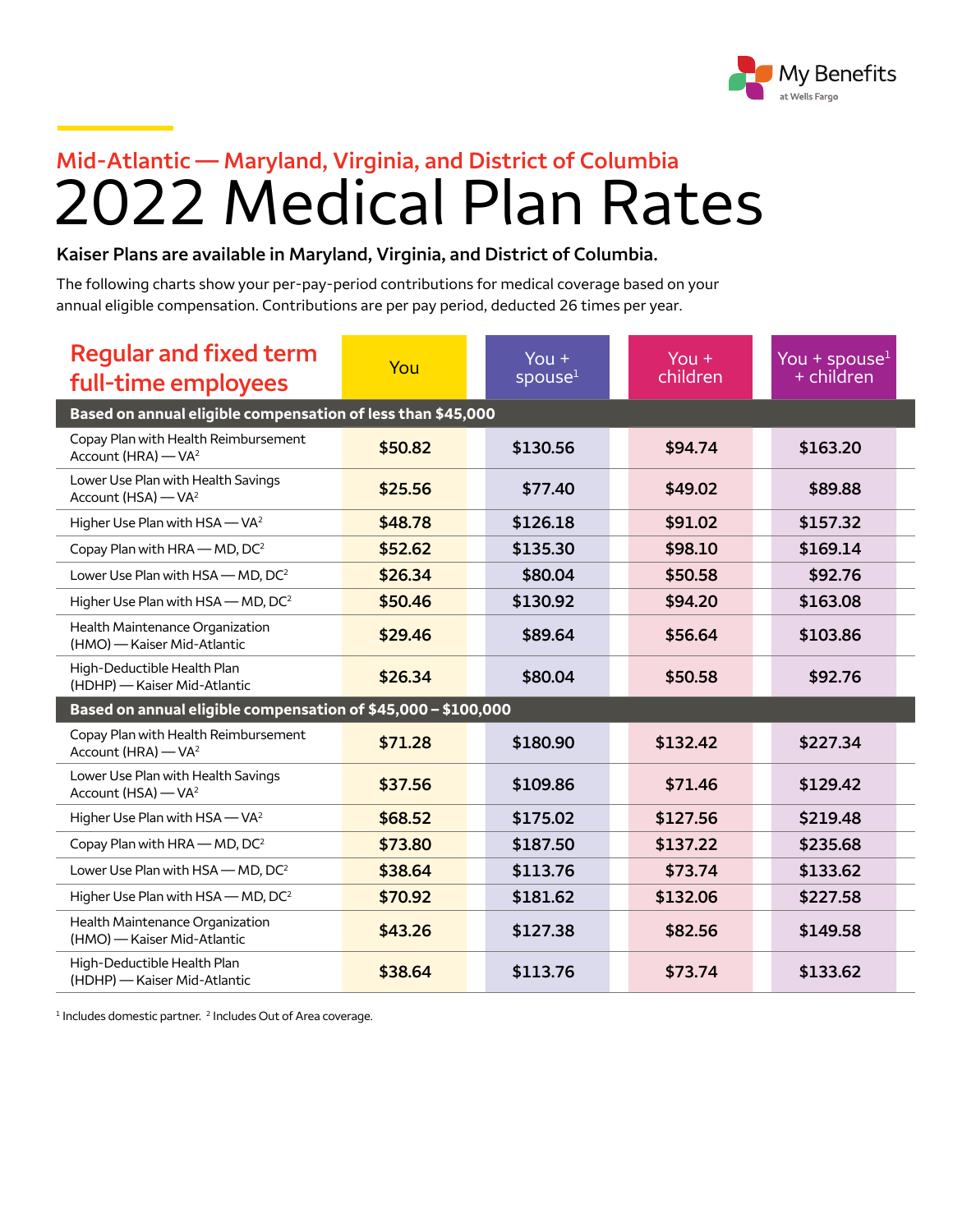

## 2022 Medical Plan Rates **Mid-Atlantic — Maryland, Virginia, and District of Columbia**

## **Kaiser Plans are available in Maryland, Virginia, and District of Columbia.**

The following charts show your per-pay-period contributions for medical coverage based on your annual eligible compensation. Contributions are per pay period, deducted 26 times per year.

| <b>Regular and fixed term</b><br>full-time employees                    | You     | You $+$<br>spouse <sup>1</sup> | You $+$<br>children | You + spouse $1$<br>+ children |
|-------------------------------------------------------------------------|---------|--------------------------------|---------------------|--------------------------------|
| Based on annual eligible compensation of less than \$45,000             |         |                                |                     |                                |
| Copay Plan with Health Reimbursement<br>Account (HRA) - VA <sup>2</sup> | \$50.82 | \$130.56                       | \$94.74             | \$163.20                       |
| Lower Use Plan with Health Savings<br>Account (HSA) - VA <sup>2</sup>   | \$25.56 | \$77.40                        | \$49.02             | \$89.88                        |
| Higher Use Plan with HSA - VA <sup>2</sup>                              | \$48.78 | \$126.18                       | \$91.02             | \$157.32                       |
| Copay Plan with HRA - MD, DC <sup>2</sup>                               | \$52.62 | \$135.30                       | \$98.10             | \$169.14                       |
| Lower Use Plan with HSA - MD, DC <sup>2</sup>                           | \$26.34 | \$80.04                        | \$50.58             | \$92.76                        |
| Higher Use Plan with HSA - MD, DC <sup>2</sup>                          | \$50.46 | \$130.92                       | \$94.20             | \$163.08                       |
| Health Maintenance Organization<br>(HMO) - Kaiser Mid-Atlantic          | \$29.46 | \$89.64                        | \$56.64             | \$103.86                       |
| High-Deductible Health Plan<br>(HDHP) - Kaiser Mid-Atlantic             | \$26.34 | \$80.04                        | \$50.58             | \$92.76                        |
| Based on annual eligible compensation of \$45,000 - \$100,000           |         |                                |                     |                                |
| Copay Plan with Health Reimbursement<br>Account (HRA) - VA <sup>2</sup> | \$71.28 | \$180.90                       | \$132.42            | \$227.34                       |
| Lower Use Plan with Health Savings<br>Account (HSA) - VA <sup>2</sup>   | \$37.56 | \$109.86                       | \$71.46             | \$129.42                       |
| Higher Use Plan with HSA - VA <sup>2</sup>                              | \$68.52 | \$175.02                       | \$127.56            | \$219.48                       |
| Copay Plan with HRA - MD, DC <sup>2</sup>                               | \$73.80 | \$187.50                       | \$137.22            | \$235.68                       |
| Lower Use Plan with HSA - MD, DC <sup>2</sup>                           | \$38.64 | \$113.76                       | \$73.74             | \$133.62                       |
| Higher Use Plan with HSA - MD, DC <sup>2</sup>                          | \$70.92 | \$181.62                       | \$132.06            | \$227.58                       |
| Health Maintenance Organization<br>(HMO) - Kaiser Mid-Atlantic          | \$43.26 | \$127.38                       | \$82.56             | \$149.58                       |
| High-Deductible Health Plan<br>(HDHP) - Kaiser Mid-Atlantic             | \$38.64 | \$113.76                       | \$73.74             | \$133.62                       |

<sup>1</sup> Includes domestic partner. <sup>2</sup> Includes Out of Area coverage.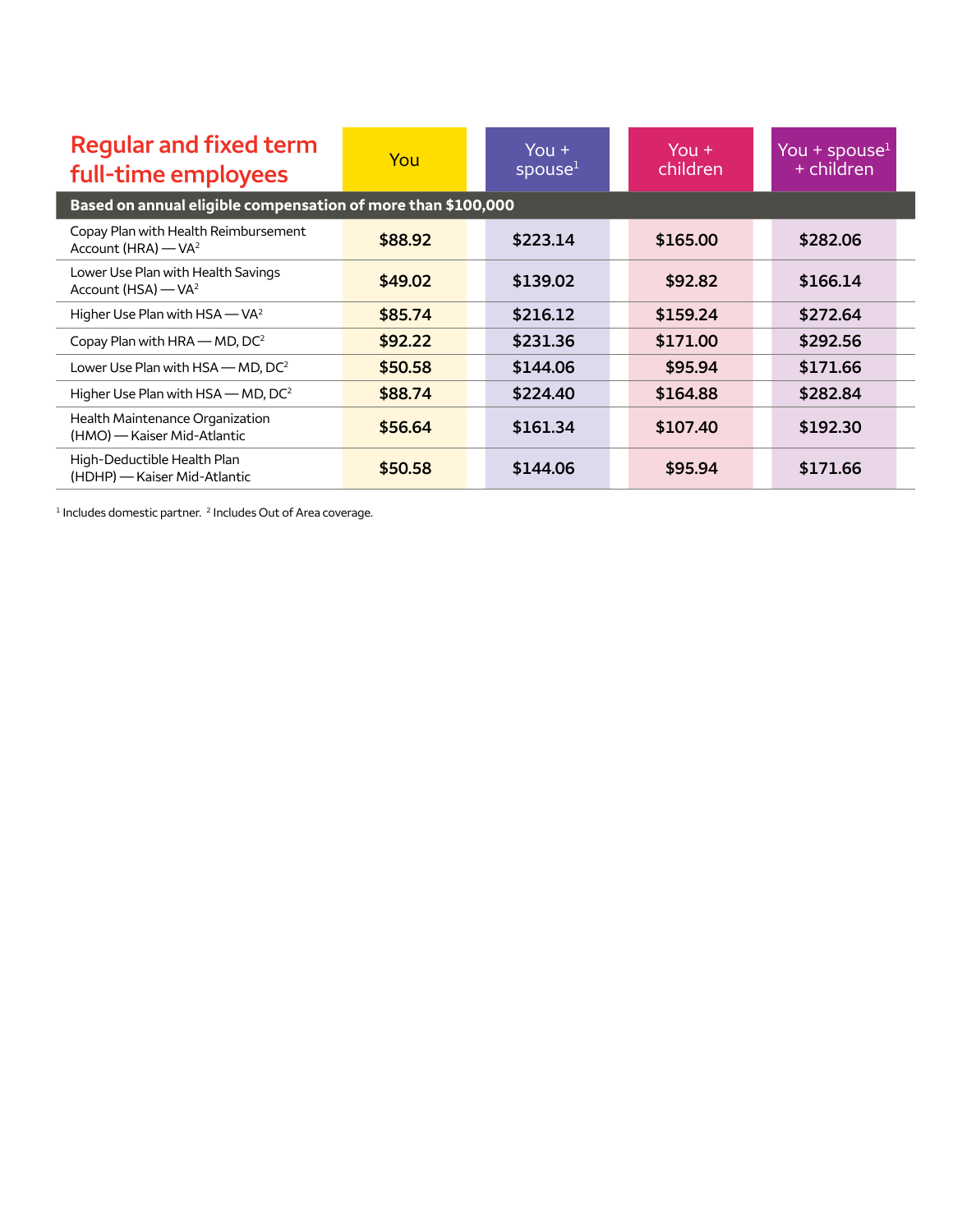<span id="page-1-0"></span>

| <b>Regular and fixed term</b><br>full-time employees                    | You     | You $+$<br>spouse <sup>1</sup> | $You +$<br>children | You + spouse $1$<br>+ children |
|-------------------------------------------------------------------------|---------|--------------------------------|---------------------|--------------------------------|
| Based on annual eligible compensation of more than \$100,000            |         |                                |                     |                                |
| Copay Plan with Health Reimbursement<br>Account (HRA) - VA <sup>2</sup> | \$88.92 | \$223.14                       | \$165.00            | \$282.06                       |
| Lower Use Plan with Health Savings<br>Account (HSA) - VA <sup>2</sup>   | \$49.02 | \$139.02                       | \$92.82             | \$166.14                       |
| Higher Use Plan with HSA - VA <sup>2</sup>                              | \$85.74 | \$216.12                       | \$159.24            | \$272.64                       |
| Copay Plan with HRA $-$ MD, DC <sup>2</sup>                             | \$92.22 | \$231.36                       | \$171.00            | \$292.56                       |
| Lower Use Plan with $HSA$ – MD, $DC^2$                                  | \$50.58 | \$144.06                       | \$95.94             | \$171.66                       |
| Higher Use Plan with $HSA$ – MD, DC <sup>2</sup>                        | \$88.74 | \$224.40                       | \$164.88            | \$282.84                       |
| Health Maintenance Organization<br>(HMO) - Kaiser Mid-Atlantic          | \$56.64 | \$161.34                       | \$107.40            | \$192.30                       |
| High-Deductible Health Plan<br>(HDHP) - Kaiser Mid-Atlantic             | \$50.58 | \$144.06                       | \$95.94             | \$171.66                       |

 $<sup>1</sup>$  Includes domestic partner.  $<sup>2</sup>$  Includes Out of Area coverage.</sup></sup>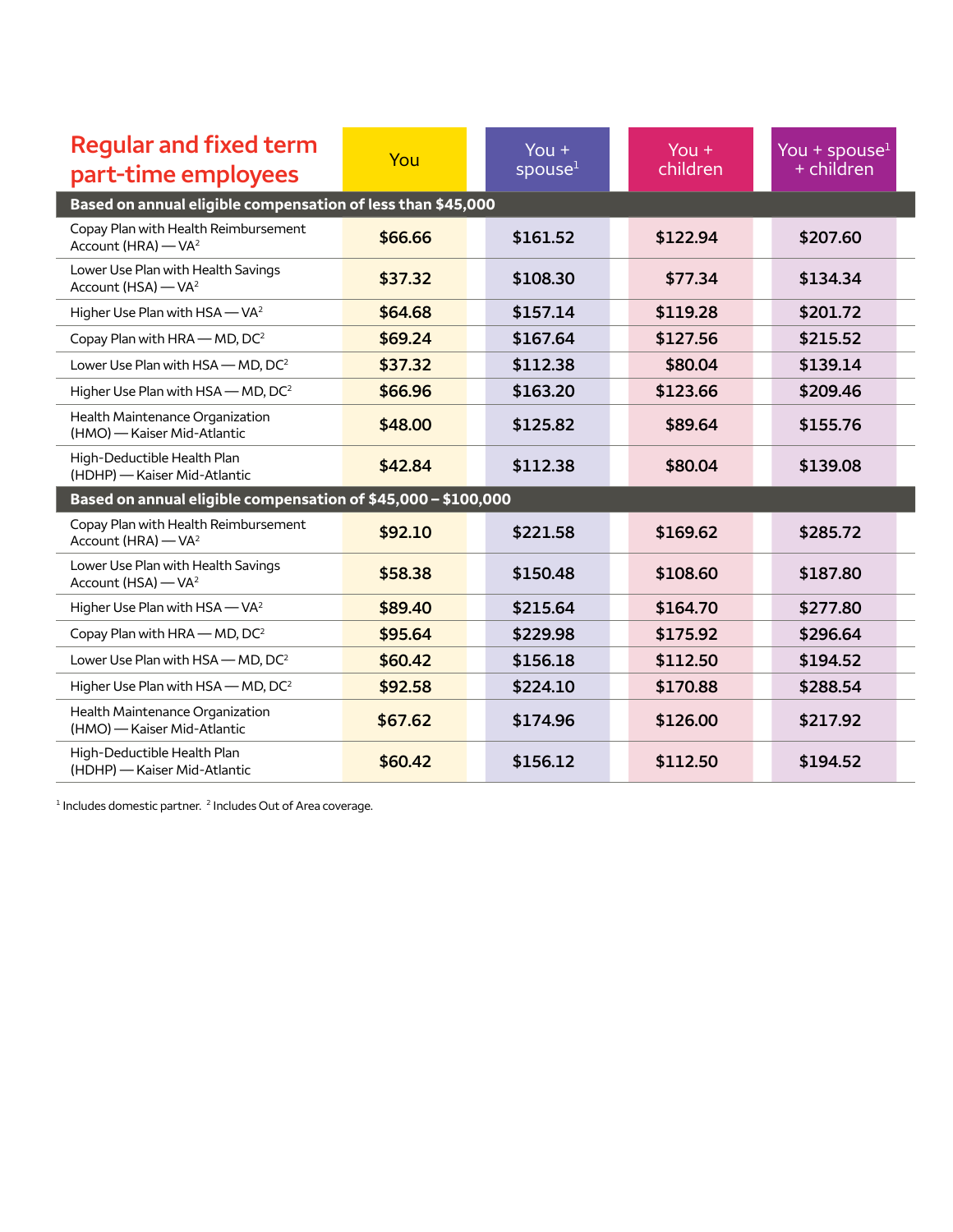| <b>Regular and fixed term</b><br>part-time employees                    | You     | You $+$<br>spouse <sup>1</sup> | You $+$<br>children | You + spouse $1$<br>+ children |
|-------------------------------------------------------------------------|---------|--------------------------------|---------------------|--------------------------------|
| Based on annual eligible compensation of less than \$45,000             |         |                                |                     |                                |
| Copay Plan with Health Reimbursement<br>Account (HRA) - VA <sup>2</sup> | \$66.66 | \$161.52                       | \$122.94            | \$207.60                       |
| Lower Use Plan with Health Savings<br>Account (HSA) - VA <sup>2</sup>   | \$37.32 | \$108.30                       | \$77.34             | \$134.34                       |
| Higher Use Plan with HSA - VA <sup>2</sup>                              | \$64.68 | \$157.14                       | \$119.28            | \$201.72                       |
| Copay Plan with HRA - MD, DC <sup>2</sup>                               | \$69.24 | \$167.64                       | \$127.56            | \$215.52                       |
| Lower Use Plan with HSA - MD, DC <sup>2</sup>                           | \$37.32 | \$112.38                       | \$80.04             | \$139.14                       |
| Higher Use Plan with HSA - MD, DC <sup>2</sup>                          | \$66.96 | \$163.20                       | \$123.66            | \$209.46                       |
| Health Maintenance Organization<br>(HMO) - Kaiser Mid-Atlantic          | \$48.00 | \$125.82                       | \$89.64             | \$155.76                       |
| High-Deductible Health Plan<br>(HDHP) - Kaiser Mid-Atlantic             | \$42.84 | \$112.38                       | \$80.04             | \$139.08                       |
| Based on annual eligible compensation of \$45,000 - \$100,000           |         |                                |                     |                                |
| Copay Plan with Health Reimbursement<br>Account (HRA) - VA <sup>2</sup> | \$92.10 | \$221.58                       | \$169.62            | \$285.72                       |
| Lower Use Plan with Health Savings<br>Account (HSA) - VA <sup>2</sup>   | \$58.38 | \$150.48                       | \$108.60            | \$187.80                       |
| Higher Use Plan with HSA - VA <sup>2</sup>                              | \$89.40 | \$215.64                       | \$164.70            | \$277.80                       |
| Copay Plan with HRA - MD, DC <sup>2</sup>                               | \$95.64 | \$229.98                       | \$175.92            | \$296.64                       |
| Lower Use Plan with HSA - MD, DC <sup>2</sup>                           | \$60.42 | \$156.18                       | \$112.50            | \$194.52                       |
| Higher Use Plan with HSA - MD, DC <sup>2</sup>                          | \$92.58 | \$224.10                       | \$170.88            | \$288.54                       |
| Health Maintenance Organization<br>(HMO) - Kaiser Mid-Atlantic          | \$67.62 | \$174.96                       | \$126.00            | \$217.92                       |
| High-Deductible Health Plan<br>(HDHP) - Kaiser Mid-Atlantic             | \$60.42 | \$156.12                       | \$112.50            | \$194.52                       |

 $<sup>1</sup>$  Includes domestic partner.  $<sup>2</sup>$  Includes Out of Area coverage.</sup></sup>